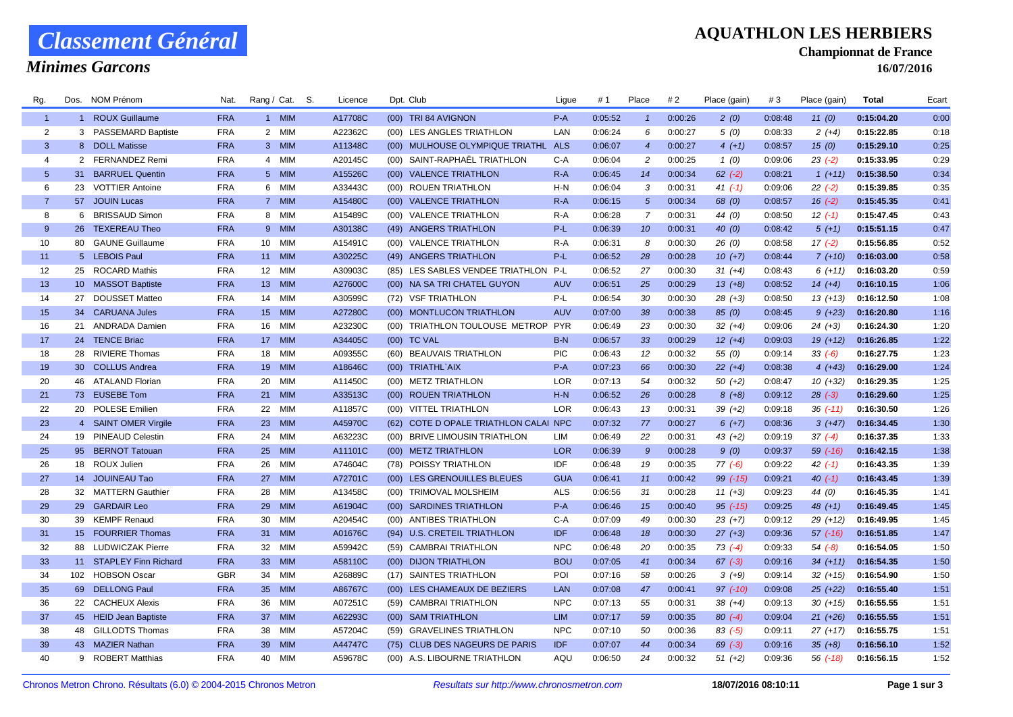## *Classement Général*

### *Minimes Garcons*

#### **AQUATHLON LES HERBIERS**

**Championnat de France**

**16/07/2016**

| Rg.            | Dos. | NOM Prénom                            | Nat.                     | Rang / Cat. S.  |                   | Licence            | Dpt. Club                                             | Ligue             | # 1                | Place           | # 2                | Place (gain)          | #3                 | Place (gain)             | Total                    | Ecart        |
|----------------|------|---------------------------------------|--------------------------|-----------------|-------------------|--------------------|-------------------------------------------------------|-------------------|--------------------|-----------------|--------------------|-----------------------|--------------------|--------------------------|--------------------------|--------------|
| $\mathbf{1}$   |      | 1 ROUX Guillaume                      | <b>FRA</b>               |                 | 1 MIM             | A17708C            | (00) TRI 84 AVIGNON                                   | $P-A$             | 0:05:52            | $\mathbf{1}$    | 0:00:26            | 2(0)                  | 0:08:48            | 11(0)                    | 0:15:04.20               | 0:00         |
| $\overline{2}$ |      | 3 PASSEMARD Baptiste                  | <b>FRA</b>               |                 | 2 MIM             | A22362C            | (00) LES ANGLES TRIATHLON                             | LAN               | 0:06:24            | 6               | 0:00:27            | 5(0)                  | 0:08:33            | $2(+4)$                  | 0:15:22.85               | 0:18         |
| 3              |      | 8 DOLL Matisse                        | <b>FRA</b>               |                 | 3 MIM             | A11348C            | (00) MULHOUSE OLYMPIQUE TRIATHL                       | <b>ALS</b>        | 0:06:07            | $\overline{4}$  | 0:00:27            | $4(+1)$               | 0:08:57            | 15(0)                    | 0:15:29.10               | 0:25         |
| $\overline{4}$ |      | 2 FERNANDEZ Remi                      | <b>FRA</b>               |                 | 4 MIM             | A20145C            | (00) SAINT-RAPHAËL TRIATHLON                          | C-A               | 0:06:04            | $\overline{c}$  | 0:00:25            | 1(0)                  | 0:09:06            | $23( -2)$                | 0:15:33.95               | 0:29         |
| 5 <sup>5</sup> |      | 31 BARRUEL Quentin                    | <b>FRA</b>               |                 | 5 MIM             | A15526C            | (00) VALENCE TRIATHLON                                | $R-A$             | 0:06:45            | 14              | 0:00:34            | $62$ $(-2)$           | 0:08:21            | $1(+11)$                 | 0:15:38.50               | 0:34         |
| 6              | 23   | <b>VOTTIER Antoine</b>                | <b>FRA</b>               |                 | 6 MIM             | A33443C            | (00) ROUEN TRIATHLON                                  | $H-N$             | 0:06:04            | 3               | 0:00:31            | $41 (-1)$             | 0:09:06            | $22(-2)$                 | 0:15:39.85               | 0:35         |
| $\overline{7}$ |      | 57 JOUIN Lucas                        | <b>FRA</b>               |                 | 7 MIM             | A15480C            | (00) VALENCE TRIATHLON                                | $R-A$             | 0:06:15            | 5 <sup>5</sup>  | 0:00:34            | 68 (0)                | 0:08:57            | $16(-2)$                 | 0:15:45.35               | 0:41         |
| 8              |      | 6 BRISSAUD Simon                      | <b>FRA</b>               |                 | 8 MIM             | A15489C            | (00) VALENCE TRIATHLON                                | R-A               | 0:06:28            | $\overline{7}$  | 0:00:31            | 44 (0)                | 0:08:50            | $12(-1)$                 | 0:15:47.45               | 0:43         |
| 9              |      | 26 TEXEREAU Theo                      | <b>FRA</b>               |                 | 9 MIM             | A30138C            | (49) ANGERS TRIATHLON                                 | $P-L$             | 0:06:39            | 10 <sup>°</sup> | 0:00:31            | 40(0)                 | 0:08:42            | $5(+1)$                  | 0:15:51.15               | 0:47         |
| 10             |      | 80 GAUNE Guillaume                    | <b>FRA</b>               | 10 <sup>1</sup> | <b>MIM</b>        | A15491C            | (00) VALENCE TRIATHLON                                | $R-A$             | 0:06:31            | 8               | 0:00:30            | 26(0)                 | 0:08:58            | $17(-2)$                 | 0:15:56.85               | 0:52         |
| 11             |      | 5 LEBOIS Paul                         | <b>FRA</b>               | 11              | <b>MIM</b>        | A30225C            | (49) ANGERS TRIATHLON                                 | $P-L$             | 0:06:52            | 28              | 0:00:28            | $10(+7)$              | 0:08:44            | $7(+10)$                 | 0:16:03.00               | 0:58         |
| 12             |      | 25 ROCARD Mathis                      | <b>FRA</b>               | 12              | MIM               | A30903C            | (85) LES SABLES VENDEE TRIATHLON                      | $P-L$             | 0:06:52            | 27              | 0:00:30            | $31 (+4)$             | 0:08:43            | $6(+11)$                 | 0:16:03.20               | 0:59         |
| 13             |      | 10 MASSOT Baptiste                    | <b>FRA</b>               | 13 <sup>7</sup> | <b>MIM</b>        | A27600C            | (00) NA SA TRI CHATEL GUYON                           | <b>AUV</b>        | 0:06:51            | 25              | 0:00:29            | $13(+8)$              | 0:08:52            | $14(+4)$                 | 0:16:10.15               | 1:06         |
| 14             |      | 27 DOUSSET Matteo                     | <b>FRA</b>               | 14              | <b>MIM</b>        | A30599C            | (72) VSF TRIATHLON                                    | P-L               | 0:06:54            | 30              | 0:00:30            | $28(+3)$              | 0:08:50            | $13(+13)$                | 0:16:12.50               | 1:08         |
| 15             |      | 34 CARUANA Jules                      | <b>FRA</b>               | 15              | <b>MIM</b>        | A27280C            | (00) MONTLUCON TRIATHLON                              | <b>AUV</b>        | 0:07:00            | 38              | 0:00:38            | 85(0)                 | 0:08:45            | $9 (+23)$                | 0:16:20.80               | 1:16         |
| 16             |      | 21 ANDRADA Damien                     | <b>FRA</b>               | 16              | MIM               | A23230C            | (00) TRIATHLON TOULOUSE METROP PYR                    |                   | 0:06:49            | 23              | 0:00:30            | $32(+4)$              | 0:09:06            | $24(+3)$                 | 0:16:24.30               | 1:20         |
| 17             |      | 24 TENCE Briac                        | <b>FRA</b>               | 17              | <b>MIM</b>        | A34405C            | (00) TC VAL                                           | $B-N$             | 0:06:57            | 33              | 0:00:29            | $12(+4)$              | 0:09:03            | $19(+12)$                | 0:16:26.85               | 1:22         |
| 18             | 28   | <b>RIVIERE Thomas</b>                 | <b>FRA</b>               | 18              | MIM               | A09355C            | (60) BEAUVAIS TRIATHLON                               | <b>PIC</b>        | 0:06:43            | 12              | 0:00:32            | 55(0)                 | 0:09:14            | $33(-6)$                 | 0:16:27.75               | 1:23         |
| 19             |      | 30 COLLUS Andrea                      | <b>FRA</b>               |                 | 19 MIM            | A18646C            | (00) TRIATHL`AIX                                      | $P-A$             | 0:07:23            | 66              | 0:00:30            | $22(+4)$              | 0:08:38            | $4(+43)$                 | 0:16:29.00               | 1:24         |
| 20             |      | 46 ATALAND Florian                    | <b>FRA</b>               | 20              | MIM               | A11450C            | (00) METZ TRIATHLON                                   | <b>LOR</b>        | 0:07:13            | 54              | 0:00:32            | $50(+2)$              | 0:08:47            | $10(+32)$                | 0:16:29.35               | 1:25         |
| 21             |      | 73 EUSEBE Tom                         | <b>FRA</b>               | 21              | <b>MIM</b>        | A33513C            | (00) ROUEN TRIATHLON                                  | $H-N$             | 0:06:52            | 26              | 0:00:28            | $8 (+8)$              | 0:09:12            | $28(-3)$                 | 0:16:29.60               | 1:25         |
| 22             |      | 20 POLESE Emilien                     | <b>FRA</b>               | 22              | <b>MIM</b>        | A11857C            | (00) VITTEL TRIATHLON                                 | <b>LOR</b>        | 0:06:43            | 13              | 0:00:31            | $39(+2)$              | 0:09:18            | $36$ $(-11)$             | 0:16:30.50               | 1:26         |
| 23             |      | 4 SAINT OMER Virgile                  | <b>FRA</b>               | 23              | <b>MIM</b>        | A45970C            | (62) COTE D OPALE TRIATHLON CALAI NPC                 |                   | 0:07:32            | 77              | 0:00:27            | $6 (+7)$              | 0:08:36            | $3(+47)$                 | 0:16:34.45               | 1:30         |
| 24             |      | 19 PINEAUD Celestin                   | <b>FRA</b>               | 24              | <b>MIM</b>        | A63223C            | (00) BRIVE LIMOUSIN TRIATHLON                         | <b>LIM</b>        | 0:06:49            | 22              | 0:00:31            | $43 (+2)$             | 0:09:19            | $37(-4)$                 | 0:16:37.35               | 1:33         |
| 25             |      | 95 BERNOT Tatouan                     | <b>FRA</b>               | 25              | <b>MIM</b>        | A11101C            | (00) METZ TRIATHLON                                   | <b>LOR</b>        | 0:06:39            | $\mathcal{G}$   | 0:00:28            | 9(0)                  | 0:09:37            | $59$ $(-16)$             | 0:16:42.15               | 1:38         |
| 26             |      | 18 ROUX Julien                        | <b>FRA</b>               | 26              | MIM               | A74604C            | (78) POISSY TRIATHLON                                 | IDF               | 0:06:48            | 19              | 0:00:35            | $77(-6)$              | 0:09:22            | 42 (-1)                  | 0:16:43.35               | 1:39         |
| 27             |      | 14 JOUINEAU Tao                       | <b>FRA</b>               | 27              | <b>MIM</b>        | A72701C            | (00) LES GRENOUILLES BLEUES                           | <b>GUA</b>        | 0:06:41            | 11              | 0:00:42            | 99 (-15)              | 0:09:21            | $40(-1)$                 | 0:16:43.45               | 1:39         |
| 28             |      | 32 MATTERN Gauthier                   | <b>FRA</b>               | 28              | MIM               | A13458C            | (00) TRIMOVAL MOLSHEIM                                | <b>ALS</b>        | 0:06:56            | 31              | 0:00:28            | $11 (+3)$             | 0:09:23            | 44 (0)                   | 0:16:45.35               | 1:41         |
| 29             |      | 29 GARDAIR Leo                        | <b>FRA</b>               | 29              | <b>MIM</b>        | A61904C            | (00) SARDINES TRIATHLON                               | $P - A$           | 0:06:46            | 15              | 0:00:40            | $95$ $(-15)$          | 0:09:25            | $48 (+1)$                | 0:16:49.45               | 1:45         |
| 30             |      | 39 KEMPF Renaud<br>15 FOURRIER Thomas | <b>FRA</b><br><b>FRA</b> | 30<br>31        | MIM<br><b>MIM</b> | A20454C<br>A01676C | (00) ANTIBES TRIATHLON                                | C-A<br><b>IDF</b> | 0:07:09<br>0:06:48 | 49<br>18        | 0:00:30<br>0:00:30 | $23 (+7)$             | 0:09:12            | $29(+12)$                | 0:16:49.95               | 1:45<br>1:47 |
| 31<br>32       |      | 88 LUDWICZAK Pierre                   | <b>FRA</b>               | 32              | <b>MIM</b>        | A59942C            | (94) U.S. CRETEIL TRIATHLON<br>(59) CAMBRAI TRIATHLON | <b>NPC</b>        | 0:06:48            | 20              | 0:00:35            | $27(+3)$<br>$73( -4)$ | 0:09:36<br>0:09:33 | $57$ $(-16)$<br>$54(-8)$ | 0:16:51.85<br>0:16:54.05 | 1:50         |
| 33             |      | 11 STAPLEY Finn Richard               | <b>FRA</b>               | 33              | <b>MIM</b>        | A58110C            | (00) DIJON TRIATHLON                                  | <b>BOU</b>        | 0:07:05            | 41              | 0:00:34            | $67 (-3)$             | 0:09:16            | $34 (+11)$               | 0:16:54.35               | 1:50         |
| 34             |      | 102 HOBSON Oscar                      | <b>GBR</b>               | 34              | <b>MIM</b>        | A26889C            | (17) SAINTES TRIATHLON                                | POI               | 0:07:16            | 58              | 0:00:26            | $3(+9)$               | 0:09:14            | $32 (+15)$               | 0:16:54.90               | 1:50         |
| 35             |      | 69 DELLONG Paul                       | <b>FRA</b>               | 35              | <b>MIM</b>        | A86767C            | (00) LES CHAMEAUX DE BEZIERS                          | <b>LAN</b>        | 0:07:08            | 47              | 0:00:41            | $97$ $(-10)$          | 0:09:08            | $25 (+22)$               | 0:16:55.40               | 1:51         |
| 36             |      | 22 CACHEUX Alexis                     | <b>FRA</b>               | 36              | MIM               | A07251C            | (59) CAMBRAI TRIATHLON                                | <b>NPC</b>        | 0:07:13            | 55              | 0:00:31            | $38 (+4)$             | 0:09:13            | $30 (+15)$               | 0:16:55.55               | 1:51         |
| 37             |      | 45 HEID Jean Baptiste                 | <b>FRA</b>               | 37              | <b>MIM</b>        | A62293C            | (00) SAM TRIATHLON                                    | <b>LIM</b>        | 0:07:17            | 59              | 0:00:35            | $80(-4)$              | 0:09:04            | $21 (+26)$               | 0:16:55.55               | 1:51         |
| 38             |      | 48 GILLODTS Thomas                    | <b>FRA</b>               | 38              | MIM               | A57204C            | (59) GRAVELINES TRIATHLON                             | <b>NPC</b>        | 0:07:10            | 50              | 0:00:36            | $83(-5)$              | 0:09:11            | 27 (+17)                 | 0:16:55.75               | 1:51         |
| 39             |      | 43 MAZIER Nathan                      | <b>FRA</b>               | 39              | <b>MIM</b>        | A44747C            | (75) CLUB DES NAGEURS DE PARIS                        | <b>IDF</b>        | 0:07:07            | 44              | 0:00:34            | $69 (-3)$             | 0:09:16            | $35(+8)$                 | 0:16:56.10               | 1:52         |
| 40             |      | 9 ROBERT Matthias                     | <b>FRA</b>               | 40              | <b>MIM</b>        | A59678C            | (00) A.S. LIBOURNE TRIATHLON                          | AQU               | 0:06:50            | 24              | 0:00:32            | $51 (+2)$             | 0:09:36            | $56$ $(-18)$             | 0:16:56.15               | 1:52         |
|                |      |                                       |                          |                 |                   |                    |                                                       |                   |                    |                 |                    |                       |                    |                          |                          |              |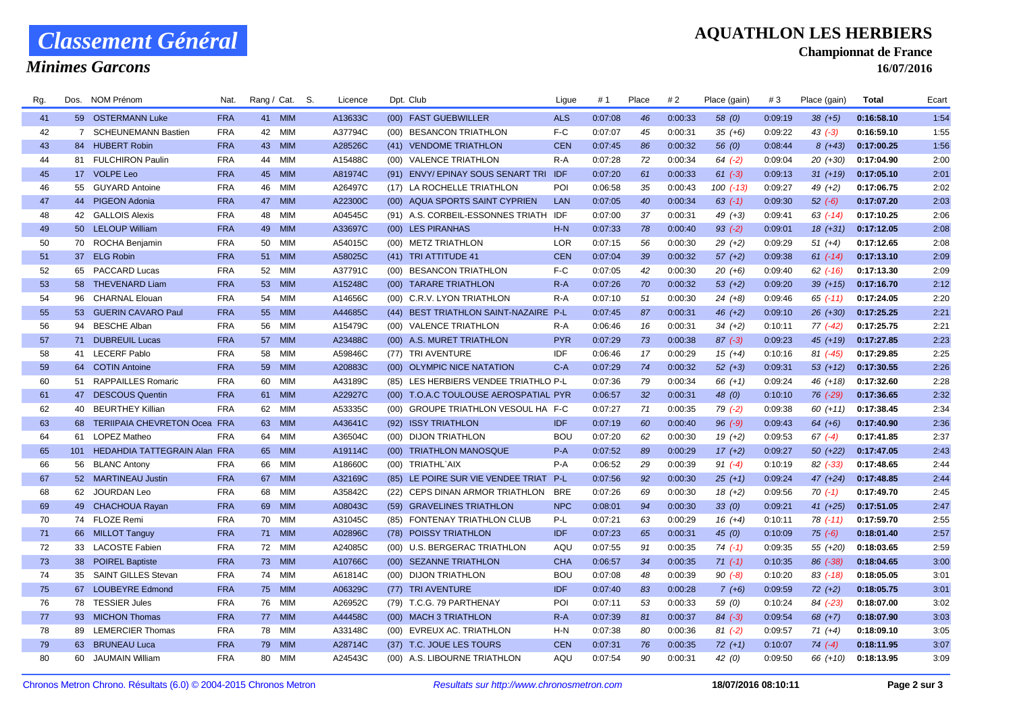## *Classement Général*

*Minimes Garcons*

#### **AQUATHLON LES HERBIERS**

**Championnat de France**

**16/07/2016**

| Rg.      | Dos. | NOM Prénom                             | Nat.                     | Rang / Cat. |                   | S. | Licence            | Dpt. Club                             | Ligue               | # 1                | Place    | # 2     | Place (gain) | #3                 | Place (gain) | Total      | Ecart |
|----------|------|----------------------------------------|--------------------------|-------------|-------------------|----|--------------------|---------------------------------------|---------------------|--------------------|----------|---------|--------------|--------------------|--------------|------------|-------|
| 41       |      | 59 OSTERMANN Luke                      | <b>FRA</b>               | 41 MIM      |                   |    | A13633C            | (00) FAST GUEBWILLER                  | <b>ALS</b>          | 0:07:08            | 46       | 0:00:33 | 58(0)        | 0:09:19            | $38(+5)$     | 0:16:58.10 | 1:54  |
| 42       |      | 7 SCHEUNEMANN Bastien                  | <b>FRA</b>               | 42          | <b>MIM</b>        |    | A37794C            | (00) BESANCON TRIATHLON               | F-C                 | 0:07:07            | 45       | 0:00:31 | $35(+6)$     | 0:09:22            | $43$ $(-3)$  | 0:16:59.10 | 1:55  |
| 43       |      | 84 HUBERT Robin                        | <b>FRA</b>               | 43          | <b>MIM</b>        |    | A28526C            | (41) VENDOME TRIATHLON                | <b>CEN</b>          | 0:07:45            | 86       | 0:00:32 | 56 $(0)$     | 0:08:44            | $8(+43)$     | 0:17:00.25 | 1:56  |
| 44       |      | 81 FULCHIRON Paulin                    | <b>FRA</b>               | 44          | <b>MIM</b>        |    | A15488C            | (00) VALENCE TRIATHLON                | $R-A$               | 0:07:28            | 72       | 0:00:34 | $64$ $(-2)$  | 0:09:04            | 20 (+30)     | 0:17:04.90 | 2:00  |
| 45       |      | 17 VOLPE Leo                           | <b>FRA</b>               | 45          | <b>MIM</b>        |    | A81974C            | (91) ENVY/EPINAY SOUS SENART TRI      | IDF                 | 0:07:20            | 61       | 0:00:33 | $61 (-3)$    | 0:09:13            | $31 (+19)$   | 0:17:05.10 | 2:01  |
| 46       |      | 55 GUYARD Antoine                      | <b>FRA</b>               | 46          | <b>MIM</b>        |    | A26497C            | (17) LA ROCHELLE TRIATHLON            | POI                 | 0:06:58            | 35       | 0:00:43 | $100(-13)$   | 0:09:27            | 49 (+2)      | 0:17:06.75 | 2:02  |
| 47       |      | 44 PIGEON Adonia                       | <b>FRA</b>               | 47          | <b>MIM</b>        |    | A22300C            | (00) AQUA SPORTS SAINT CYPRIEN        | LAN                 | 0:07:05            | 40       | 0:00:34 | $63$ $(-1)$  | 0:09:30            | $52 (-6)$    | 0:17:07.20 | 2:03  |
| 48       |      | 42 GALLOIS Alexis                      | <b>FRA</b>               | 48          | MIM               |    | A04545C            | (91) A.S. CORBEIL-ESSONNES TRIATH     | IDF                 | 0:07:00            | 37       | 0:00:31 | 49 $(+3)$    | 0:09:41            | $63$ (-14)   | 0:17:10.25 | 2:06  |
| 49       |      | 50 LELOUP William                      | <b>FRA</b>               | 49          | <b>MIM</b>        |    | A33697C            | (00) LES PIRANHAS                     | $H-N$               | 0:07:33            | 78       | 0:00:40 | $93( -2)$    | 0:09:01            | $18(+31)$    | 0:17:12.05 | 2:08  |
| 50       |      | 70 ROCHA Benjamin                      | <b>FRA</b>               | 50          | <b>MIM</b>        |    | A54015C            | (00) METZ TRIATHLON                   | LOR                 | 0:07:15            | 56       | 0:00:30 | $29(+2)$     | 0:09:29            | $51 (+4)$    | 0:17:12.65 | 2:08  |
| 51       |      | 37 ELG Robin                           | <b>FRA</b>               | 51          | <b>MIM</b>        |    | A58025C            | (41) TRI ATTITUDE 41                  | <b>CEN</b>          | 0:07:04            | 39       | 0:00:32 | $57(+2)$     | 0:09:38            | $61$ (-14)   | 0:17:13.10 | 2:09  |
| 52       | 65   | PACCARD Lucas                          | <b>FRA</b>               | 52          | <b>MIM</b>        |    | A37791C            | (00) BESANCON TRIATHLON               | F-C                 | 0:07:05            | 42       | 0:00:30 | $20(+6)$     | 0:09:40            | $62$ $(-16)$ | 0:17:13.30 | 2:09  |
| 53       |      | 58 THEVENARD Liam                      | <b>FRA</b>               | 53          | <b>MIM</b>        |    | A15248C            | (00) TARARE TRIATHLON                 | $R-A$               | 0:07:26            | 70       | 0:00:32 | $53(+2)$     | 0:09:20            | $39 (+15)$   | 0:17:16.70 | 2:12  |
| 54       | 96   | <b>CHARNAL Elouan</b>                  | <b>FRA</b>               | 54          | <b>MIM</b>        |    | A14656C            | (00) C.R.V. LYON TRIATHLON            | $R-A$               | 0:07:10            | 51       | 0:00:30 | $24 (+8)$    | 0:09:46            | $65$ $(-11)$ | 0:17:24.05 | 2:20  |
| 55       |      | 53 GUERIN CAVARO Paul                  | <b>FRA</b>               | 55          | <b>MIM</b>        |    | A44685C            | (44) BEST TRIATHLON SAINT-NAZAIRE P-L |                     | 0:07:45            | 87       | 0:00:31 | $46 (+2)$    | 0:09:10            | $26 (+30)$   | 0:17:25.25 | 2:21  |
| 56       |      | 94 BESCHE Alban                        | <b>FRA</b>               | 56          | <b>MIM</b>        |    | A15479C            | (00) VALENCE TRIATHLON                | $R-A$               | 0:06:46            | 16       | 0:00:31 | $34 (+2)$    | 0:10:11            | 77 (-42)     | 0:17:25.75 | 2:21  |
| 57       |      | 71 DUBREUIL Lucas                      | <b>FRA</b>               | 57          | <b>MIM</b>        |    | A23488C            | (00) A.S. MURET TRIATHLON             | <b>PYR</b>          | 0:07:29            | 73       | 0:00:38 | $87(-3)$     | 0:09:23            | $45(+19)$    | 0:17:27.85 | 2:23  |
| 58       | 41   | <b>LECERF Pablo</b>                    | <b>FRA</b>               | 58          | <b>MIM</b>        |    | A59846C            | (77) TRI AVENTURE                     | IDF                 | 0:06:46            | 17       | 0:00:29 | $15(+4)$     | 0:10:16            | 81 (-45)     | 0:17:29.85 | 2:25  |
| 59       |      | 64 COTIN Antoine                       | <b>FRA</b>               | 59          | <b>MIM</b>        |    | A20883C            | (00) OLYMPIC NICE NATATION            | $C-A$               | 0:07:29            | 74       | 0:00:32 | $52(+3)$     | 0:09:31            | $53(+12)$    | 0:17:30.55 | 2:26  |
| 60       |      | 51 RAPPAILLES Romaric                  | <b>FRA</b>               | 60          | <b>MIM</b>        |    | A43189C            | (85) LES HERBIERS VENDEE TRIATHLO P-L |                     | 0:07:36            | 79       | 0:00:34 | 66 $(+1)$    | 0:09:24            | 46 (+18)     | 0:17:32.60 | 2:28  |
| 61       |      | 47 DESCOUS Quentin                     | <b>FRA</b>               | 61          | <b>MIM</b>        |    | A22927C            | (00) T.O.A.C TOULOUSE AEROSPATIAL PYR |                     | 0:06:57            | 32       | 0:00:31 | 48 (0)       | 0:10:10            | 76 (-29)     | 0:17:36.65 | 2:32  |
| 62       | 40   | <b>BEURTHEY Killian</b>                | <b>FRA</b>               | 62          | <b>MIM</b>        |    | A53335C            | (00) GROUPE TRIATHLON VESOUL HA F-C   |                     | 0:07:27            | 71       | 0:00:35 | $79( -2)$    | 0:09:38            | $60 (+11)$   | 0:17:38.45 | 2:34  |
| 63       | 68   | TERIIPAIA CHEVRETON Ocea FRA           |                          | 63          | <b>MIM</b>        |    | A43641C            | (92) ISSY TRIATHLON                   | IDF                 | 0:07:19            | 60       | 0:00:40 | $96 (-9)$    | 0:09:43            | $64 (+6)$    | 0:17:40.90 | 2:36  |
| 64       | 61   | <b>LOPEZ Matheo</b>                    | <b>FRA</b>               | 64          | <b>MIM</b>        |    | A36504C            | (00) DIJON TRIATHLON                  | <b>BOU</b>          | 0:07:20            | 62       | 0:00:30 | $19(+2)$     | 0:09:53            | $67$ $(-4)$  | 0:17:41.85 | 2:37  |
| 65       | 101  | HEDAHDIA TATTEGRAIN Alan FRA           |                          | 65          | <b>MIM</b>        |    | A19114C            | (00) TRIATHLON MANOSQUE               | $P - A$             | 0:07:52            | 89       | 0:00:29 | $17(+2)$     | 0:09:27            | $50(+22)$    | 0:17:47.05 | 2:43  |
| 66       |      | 56 BLANC Antony                        | <b>FRA</b>               | 66          | <b>MIM</b>        |    | A18660C            | (00) TRIATHL`AIX                      | $P-A$               | 0:06:52            | 29       | 0:00:39 | $91 (-4)$    | 0:10:19            | $82$ $(-33)$ | 0:17:48.65 | 2:44  |
| 67       |      | 52 MARTINEAU Justin                    | <b>FRA</b>               | 67          | <b>MIM</b>        |    | A32169C            | (85) LE POIRE SUR VIE VENDEE TRIAT    | P-L                 | 0:07:56            | 92       | 0:00:30 | $25(+1)$     | 0:09:24            | $47 (+24)$   | 0:17:48.85 | 2:44  |
| 68       |      | 62 JOURDAN Leo                         | <b>FRA</b>               | 68          | <b>MIM</b>        |    | A35842C            | (22) CEPS DINAN ARMOR TRIATHLON       | <b>BRE</b>          | 0:07:26            | 69       | 0:00:30 | $18(+2)$     | 0:09:56            | $70(-1)$     | 0:17:49.70 | 2:45  |
| 69       |      | 49 CHACHOUA Rayan                      | <b>FRA</b>               | 69          | <b>MIM</b>        |    | A08043C            | (59) GRAVELINES TRIATHLON             | <b>NPC</b>          | 0:08:01            | 94       | 0:00:30 | 33(0)        | 0:09:21            | $41 (+25)$   | 0:17:51.05 | 2:47  |
| 70       |      | 74 FLOZE Remi                          | <b>FRA</b>               | 70          | MIM               |    | A31045C            | (85) FONTENAY TRIATHLON CLUB          | P-L                 | 0:07:21            | 63       | 0:00:29 | $16 (+4)$    | 0:10:11            | $78$ $(-11)$ | 0:17:59.70 | 2:55  |
| 71       |      | 66 MILLOT Tanguy                       | <b>FRA</b>               | 71          | <b>MIM</b>        |    | A02896C            | (78) POISSY TRIATHLON                 | <b>IDF</b>          | 0:07:23            | 65       | 0:00:31 | 45(0)        | 0:10:09            | $75(-6)$     | 0:18:01.40 | 2:57  |
| 72       |      | 33 LACOSTE Fabien                      | <b>FRA</b>               | 72          | <b>MIM</b>        |    | A24085C            | (00) U.S. BERGERAC TRIATHLON          | AQU                 | 0:07:55            | 91       | 0:00:35 | $74(-1)$     | 0:09:35            | 55 (+20)     | 0:18:03.65 | 2:59  |
| 73       |      | 38 POIREL Baptiste                     | <b>FRA</b>               | 73          | <b>MIM</b>        |    | A10766C            | (00) SEZANNE TRIATHLON                | <b>CHA</b>          | 0:06:57            | 34       | 0:00:35 | $71(-1)$     | 0:10:35            | 86 (-38)     | 0:18:04.65 | 3:00  |
| 74       | 35   | <b>SAINT GILLES Stevan</b>             | <b>FRA</b>               | 74          | <b>MIM</b>        |    | A61814C            | (00) DIJON TRIATHLON                  | <b>BOU</b>          | 0:07:08            | 48       | 0:00:39 | $90( -8)$    | 0:10:20            | $83$ (-18)   | 0:18:05.05 | 3:01  |
| 75       |      | 67 LOUBEYRE Edmond<br>78 TESSIER Jules | <b>FRA</b><br><b>FRA</b> | 75<br>76    | <b>MIM</b><br>MIM |    | A06329C            | (77) TRI AVENTURE                     | <b>IDF</b><br>POI   | 0:07:40            | 83<br>53 | 0:00:28 | $7(+6)$      | 0:09:59            | $72 (+2)$    | 0:18:05.75 | 3:01  |
| 76       |      |                                        |                          |             |                   |    | A26952C            | (79) T.C.G. 79 PARTHENAY              |                     | 0:07:11            |          | 0:00:33 | 59 (0)       | 0:10:24            | 84 (-23)     | 0:18:07.00 | 3:02  |
| 77       |      | 93 MICHON Thomas                       | <b>FRA</b>               | 77          | <b>MIM</b>        |    | A44458C            | (00) MACH 3 TRIATHLON                 | $R - A$             | 0:07:39            | 81       | 0:00:37 | $84 (-3)$    | 0:09:54            | $68 (+7)$    | 0:18:07.90 | 3:03  |
| 78<br>79 |      | 89 LEMERCIER Thomas                    | <b>FRA</b><br><b>FRA</b> | 78          | MIM<br><b>MIM</b> |    | A33148C<br>A28714C | (00) EVREUX AC. TRIATHLON             | $H-N$<br><b>CEN</b> | 0:07:38<br>0:07:31 | 80<br>76 | 0:00:36 | $81 (-2)$    | 0:09:57<br>0:10:07 | $71 (+4)$    | 0:18:09.10 | 3:05  |
| 80       | 63   | <b>BRUNEAU Luca</b>                    | <b>FRA</b>               | 79          | <b>MIM</b>        |    | A24543C            | (37) T.C. JOUE LES TOURS              | AQU                 |                    | 90       | 0:00:35 | $72(+1)$     | 0:09:50            | $74(-4)$     | 0:18:11.95 | 3:07  |
|          | 60   | JAUMAIN William                        |                          | 80          |                   |    |                    | (00) A.S. LIBOURNE TRIATHLON          |                     | 0:07:54            |          | 0:00:31 | 42 (0)       |                    | 66 (+10)     | 0:18:13.95 | 3:09  |